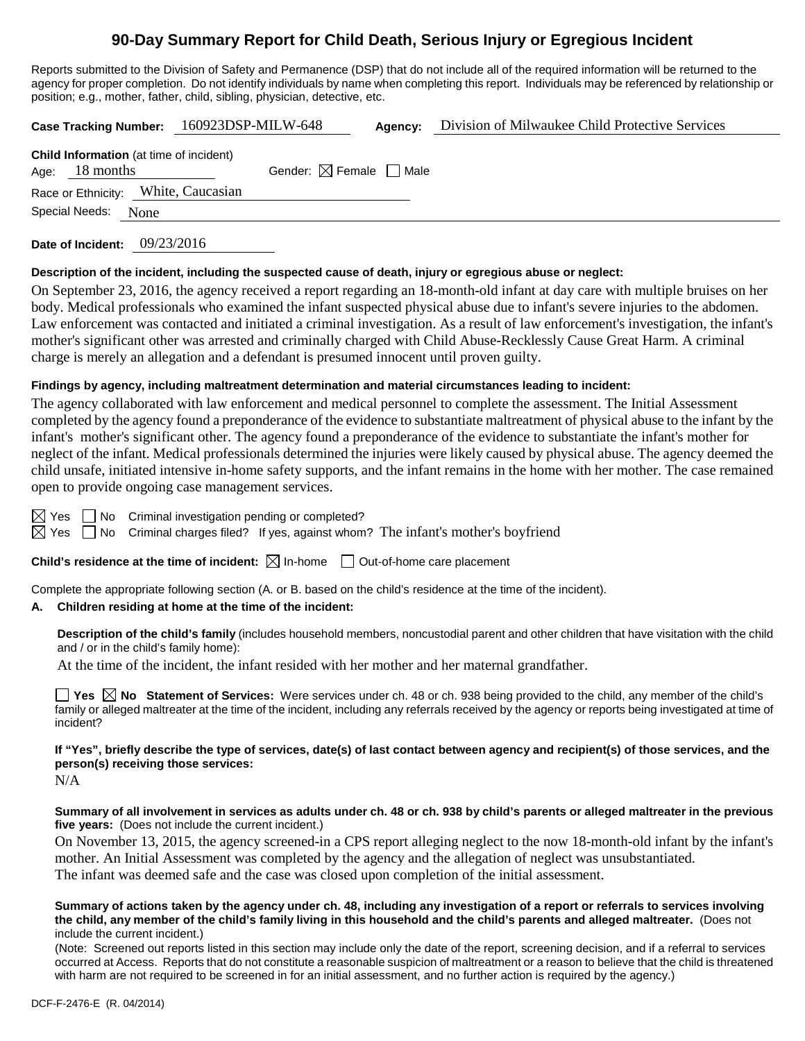# **90-Day Summary Report for Child Death, Serious Injury or Egregious Incident**

Reports submitted to the Division of Safety and Permanence (DSP) that do not include all of the required information will be returned to the agency for proper completion. Do not identify individuals by name when completing this report. Individuals may be referenced by relationship or position; e.g., mother, father, child, sibling, physician, detective, etc.

|  |                                                                    |      |                                     | Case Tracking Number: 160923DSP-MILW-648<br>Agency: |  | Division of Milwaukee Child Protective Services |  |
|--|--------------------------------------------------------------------|------|-------------------------------------|-----------------------------------------------------|--|-------------------------------------------------|--|
|  | <b>Child Information</b> (at time of incident)<br>Age: $18$ months |      |                                     | Gender: $\boxtimes$ Female $\Box$ Male              |  |                                                 |  |
|  |                                                                    |      | Race or Ethnicity: White, Caucasian |                                                     |  |                                                 |  |
|  | Special Needs:                                                     | None |                                     |                                                     |  |                                                 |  |
|  |                                                                    |      |                                     |                                                     |  |                                                 |  |

**Date of Incident:** 09/23/2016

#### **Description of the incident, including the suspected cause of death, injury or egregious abuse or neglect:**

On September 23, 2016, the agency received a report regarding an 18-month-old infant at day care with multiple bruises on her body. Medical professionals who examined the infant suspected physical abuse due to infant's severe injuries to the abdomen. Law enforcement was contacted and initiated a criminal investigation. As a result of law enforcement's investigation, the infant's mother's significant other was arrested and criminally charged with Child Abuse-Recklessly Cause Great Harm. A criminal charge is merely an allegation and a defendant is presumed innocent until proven guilty.

### **Findings by agency, including maltreatment determination and material circumstances leading to incident:**

The agency collaborated with law enforcement and medical personnel to complete the assessment. The Initial Assessment completed by the agency found a preponderance of the evidence to substantiate maltreatment of physical abuse to the infant by the infant's mother's significant other. The agency found a preponderance of the evidence to substantiate the infant's mother for neglect of the infant. Medical professionals determined the injuries were likely caused by physical abuse. The agency deemed the child unsafe, initiated intensive in-home safety supports, and the infant remains in the home with her mother. The case remained open to provide ongoing case management services.

 $\boxtimes$  Yes  $\Box$  No Criminal investigation pending or completed?

 $\boxtimes$  Yes  $\Box$  No Criminal charges filed? If yes, against whom? The infant's mother's boyfriend

## **Child's residence at the time of incident:**  $\boxtimes$  In-home  $\Box$  Out-of-home care placement

Complete the appropriate following section (A. or B. based on the child's residence at the time of the incident).

#### **A. Children residing at home at the time of the incident:**

**Description of the child's family** (includes household members, noncustodial parent and other children that have visitation with the child and / or in the child's family home):

At the time of the incident, the infant resided with her mother and her maternal grandfather.

■ Yes △ No Statement of Services: Were services under ch. 48 or ch. 938 being provided to the child, any member of the child's family or alleged maltreater at the time of the incident, including any referrals received by the agency or reports being investigated at time of incident?

**If "Yes", briefly describe the type of services, date(s) of last contact between agency and recipient(s) of those services, and the person(s) receiving those services:** N/A

**Summary of all involvement in services as adults under ch. 48 or ch. 938 by child's parents or alleged maltreater in the previous five years:** (Does not include the current incident.)

On November 13, 2015, the agency screened-in a CPS report alleging neglect to the now 18-month-old infant by the infant's mother. An Initial Assessment was completed by the agency and the allegation of neglect was unsubstantiated. The infant was deemed safe and the case was closed upon completion of the initial assessment.

**Summary of actions taken by the agency under ch. 48, including any investigation of a report or referrals to services involving the child, any member of the child's family living in this household and the child's parents and alleged maltreater.** (Does not include the current incident.)

(Note: Screened out reports listed in this section may include only the date of the report, screening decision, and if a referral to services occurred at Access. Reports that do not constitute a reasonable suspicion of maltreatment or a reason to believe that the child is threatened with harm are not required to be screened in for an initial assessment, and no further action is required by the agency.)